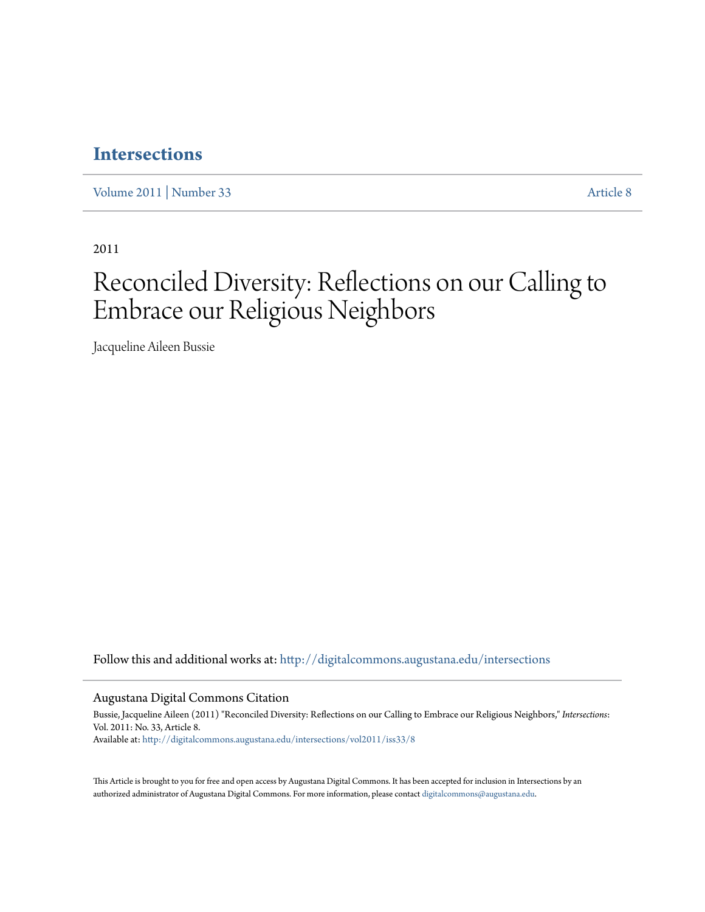### **[Intersections](http://digitalcommons.augustana.edu/intersections?utm_source=digitalcommons.augustana.edu%2Fintersections%2Fvol2011%2Fiss33%2F8&utm_medium=PDF&utm_campaign=PDFCoverPages)**

[Volume 2011](http://digitalcommons.augustana.edu/intersections/vol2011?utm_source=digitalcommons.augustana.edu%2Fintersections%2Fvol2011%2Fiss33%2F8&utm_medium=PDF&utm_campaign=PDFCoverPages) | [Number 33](http://digitalcommons.augustana.edu/intersections/vol2011/iss33?utm_source=digitalcommons.augustana.edu%2Fintersections%2Fvol2011%2Fiss33%2F8&utm_medium=PDF&utm_campaign=PDFCoverPages) [Article 8](http://digitalcommons.augustana.edu/intersections/vol2011/iss33/8?utm_source=digitalcommons.augustana.edu%2Fintersections%2Fvol2011%2Fiss33%2F8&utm_medium=PDF&utm_campaign=PDFCoverPages)

2011

## Reconciled Diversity: Reflections on our Calling to Embrace our Religious Neighbors

Jacqueline Aileen Bussie

Follow this and additional works at: [http://digitalcommons.augustana.edu/intersections](http://digitalcommons.augustana.edu/intersections?utm_source=digitalcommons.augustana.edu%2Fintersections%2Fvol2011%2Fiss33%2F8&utm_medium=PDF&utm_campaign=PDFCoverPages)

Augustana Digital Commons Citation

Bussie, Jacqueline Aileen (2011) "Reconciled Diversity: Reflections on our Calling to Embrace our Religious Neighbors," *Intersections*: Vol. 2011: No. 33, Article 8. Available at: [http://digitalcommons.augustana.edu/intersections/vol2011/iss33/8](http://digitalcommons.augustana.edu/intersections/vol2011/iss33/8?utm_source=digitalcommons.augustana.edu%2Fintersections%2Fvol2011%2Fiss33%2F8&utm_medium=PDF&utm_campaign=PDFCoverPages)

This Article is brought to you for free and open access by Augustana Digital Commons. It has been accepted for inclusion in Intersections by an authorized administrator of Augustana Digital Commons. For more information, please contact [digitalcommons@augustana.edu.](mailto:digitalcommons@augustana.edu)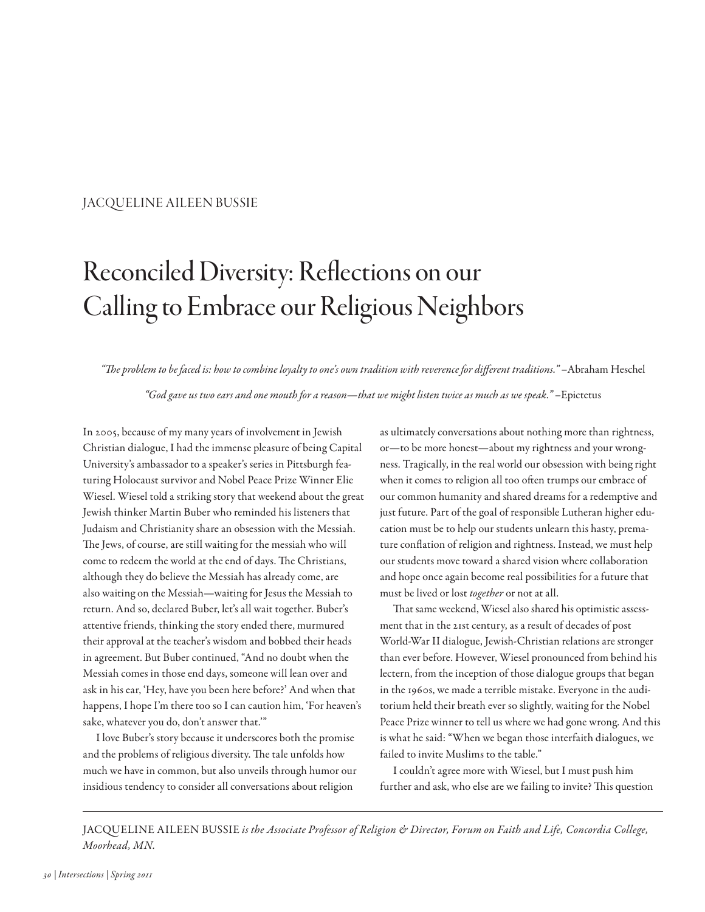#### JACQUELINE AILEEN BUSSIE

# Reconciled Diversity: Reflections on our Calling to Embrace our Religious Neighbors

"Te problem to be faced is: how to combine loyalty to one's own tradition with reverence for diferent traditions." –Abraham Heschel

"God gave us two ears and one mouth for a reason—that we might listen twice as much as we speak." –Epictetus

In 2005, because of my many years of involvement in Jewish Christian dialogue, I had the immense pleasure of being Capital University's ambassador to a speaker's series in Pittsburgh featuring Holocaust survivor and Nobel Peace Prize Winner Elie Wiesel. Wiesel told a striking story that weekend about the great Jewish thinker Martin Buber who reminded his listeners that Judaism and Christianity share an obsession with the Messiah. The Jews, of course, are still waiting for the messiah who will come to redeem the world at the end of days. The Christians, although they do believe the Messiah has already come, are also waiting on the Messiah—waiting for Jesus the Messiah to return. And so, declared Buber, let's all wait together. Buber's attentive friends, thinking the story ended there, murmured their approval at the teacher's wisdom and bobbed their heads in agreement. But Buber continued, "And no doubt when the Messiah comes in those end days, someone will lean over and ask in his ear, 'Hey, have you been here before?' And when that happens, I hope I'm there too so I can caution him, 'For heaven's sake, whatever you do, don't answer that.'"

I love Buber's story because it underscores both the promise and the problems of religious diversity. The tale unfolds how much we have in common, but also unveils through humor our insidious tendency to consider all conversations about religion

as ultimately conversations about nothing more than rightness, or—to be more honest—about my rightness and your wrongness. Tragically, in the real world our obsession with being right when it comes to religion all too often trumps our embrace of our common humanity and shared dreams for a redemptive and just future. Part of the goal of responsible Lutheran higher education must be to help our students unlearn this hasty, premature confation of religion and rightness. Instead, we must help our students move toward a shared vision where collaboration and hope once again become real possibilities for a future that must be lived or lost together or not at all.

That same weekend, Wiesel also shared his optimistic assessment that in the 21st century, as a result of decades of post World-War II dialogue, Jewish-Christian relations are stronger than ever before. However, Wiesel pronounced from behind his lectern, from the inception of those dialogue groups that began in the 1960s, we made a terrible mistake. Everyone in the auditorium held their breath ever so slightly, waiting for the Nobel Peace Prize winner to tell us where we had gone wrong. And this is what he said: "When we began those interfaith dialogues, we failed to invite Muslims to the table."

I couldn't agree more with Wiesel, but I must push him further and ask, who else are we failing to invite? This question

JACQUELINE AILEEN BUSSIE is the Associate Professor of Religion & Director, Forum on Faith and Life, Concordia College, Moorhead, MN.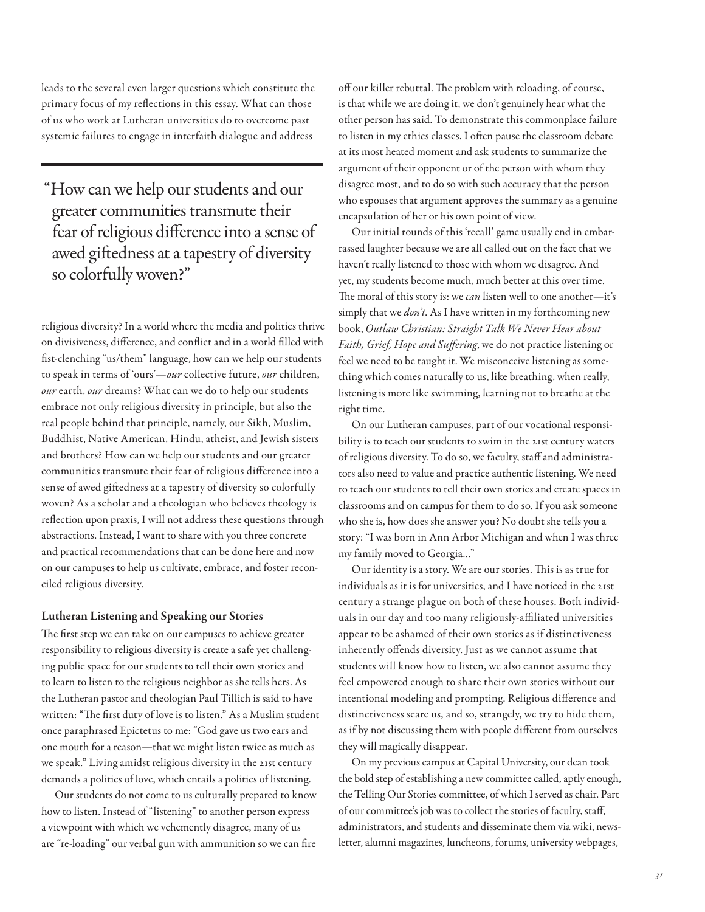leads to the several even larger questions which constitute the primary focus of my refections in this essay. What can those of us who work at Lutheran universities do to overcome past systemic failures to engage in interfaith dialogue and address

"How can we help our students and our greater communities transmute their fear of religious diference into a sense of awed gifedness at a tapestry of diversity so colorfully woven?"

religious diversity? In a world where the media and politics thrive on divisiveness, diference, and confict and in a world flled with fst-clenching "us/them" language, how can we help our students to speak in terms of 'ours'—our collective future, our children, our earth, our dreams? What can we do to help our students embrace not only religious diversity in principle, but also the real people behind that principle, namely, our Sikh, Muslim, Buddhist, Native American, Hindu, atheist, and Jewish sisters and brothers? How can we help our students and our greater communities transmute their fear of religious diference into a sense of awed gifedness at a tapestry of diversity so colorfully woven? As a scholar and a theologian who believes theology is refection upon praxis, I will not address these questions through abstractions. Instead, I want to share with you three concrete and practical recommendations that can be done here and now on our campuses to help us cultivate, embrace, and foster reconciled religious diversity.

#### Lutheran Listening and Speaking our Stories

The first step we can take on our campuses to achieve greater responsibility to religious diversity is create a safe yet challenging public space for our students to tell their own stories and to learn to listen to the religious neighbor as she tells hers. As the Lutheran pastor and theologian Paul Tillich is said to have written: "The first duty of love is to listen." As a Muslim student once paraphrased Epictetus to me: "God gave us two ears and one mouth for a reason—that we might listen twice as much as we speak." Living amidst religious diversity in the 21st century demands a politics of love, which entails a politics of listening.

Our students do not come to us culturally prepared to know how to listen. Instead of "listening" to another person express a viewpoint with which we vehemently disagree, many of us are "re-loading" our verbal gun with ammunition so we can fre

off our killer rebuttal. The problem with reloading, of course, is that while we are doing it, we don't genuinely hear what the other person has said. To demonstrate this commonplace failure to listen in my ethics classes, I often pause the classroom debate at its most heated moment and ask students to summarize the argument of their opponent or of the person with whom they disagree most, and to do so with such accuracy that the person who espouses that argument approves the summary as a genuine encapsulation of her or his own point of view.

Our initial rounds of this 'recall' game usually end in embarrassed laughter because we are all called out on the fact that we haven't really listened to those with whom we disagree. And yet, my students become much, much better at this over time. The moral of this story is: we *can* listen well to one another—it's simply that we *don't*. As I have written in my forthcoming new book, Outlaw Christian: Straight Talk We Never Hear about Faith, Grief, Hope and Suffering, we do not practice listening or feel we need to be taught it. We misconceive listening as something which comes naturally to us, like breathing, when really, listening is more like swimming, learning not to breathe at the right time.

On our Lutheran campuses, part of our vocational responsibility is to teach our students to swim in the 21st century waters of religious diversity. To do so, we faculty, staf and administrators also need to value and practice authentic listening. We need to teach our students to tell their own stories and create spaces in classrooms and on campus for them to do so. If you ask someone who she is, how does she answer you? No doubt she tells you a story: "I was born in Ann Arbor Michigan and when I was three my family moved to Georgia…"

Our identity is a story. We are our stories. This is as true for individuals as it is for universities, and I have noticed in the 21st century a strange plague on both of these houses. Both individuals in our day and too many religiously-afliated universities appear to be ashamed of their own stories as if distinctiveness inherently ofends diversity. Just as we cannot assume that students will know how to listen, we also cannot assume they feel empowered enough to share their own stories without our intentional modeling and prompting. Religious diference and distinctiveness scare us, and so, strangely, we try to hide them, as if by not discussing them with people diferent from ourselves they will magically disappear.

On my previous campus at Capital University, our dean took the bold step of establishing a new committee called, aptly enough, the Telling Our Stories committee, of which I served as chair. Part of our committee's job was to collect the stories of faculty, staf, administrators, and students and disseminate them via wiki, newsletter, alumni magazines, luncheons, forums, university webpages,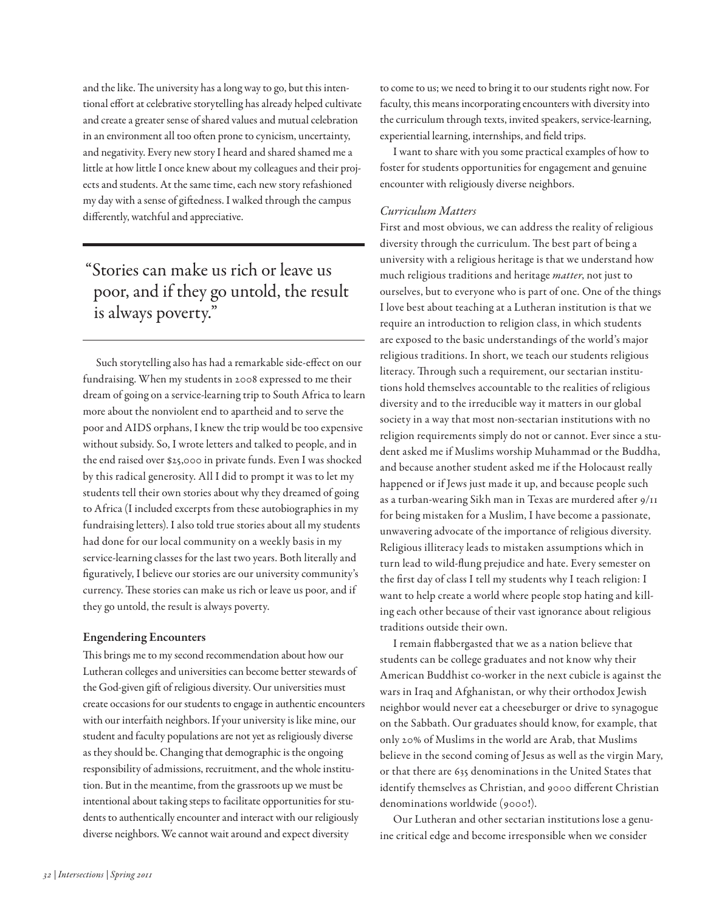and the like. The university has a long way to go, but this intentional effort at celebrative storytelling has already helped cultivate and create a greater sense of shared values and mutual celebration in an environment all too ofen prone to cynicism, uncertainty, and negativity. Every new story I heard and shared shamed me a little at how little I once knew about my colleagues and their projects and students. At the same time, each new story refashioned my day with a sense of gifedness. I walked through the campus diferently, watchful and appreciative.

## "Stories can make us rich or leave us poor, and if they go untold, the result is always poverty."

Such storytelling also has had a remarkable side-efect on our fundraising. When my students in 2008 expressed to me their dream of going on a service-learning trip to South Africa to learn more about the nonviolent end to apartheid and to serve the poor and AIDS orphans, I knew the trip would be too expensive without subsidy. So, I wrote letters and talked to people, and in the end raised over \$25,000 in private funds. Even I was shocked by this radical generosity. All I did to prompt it was to let my students tell their own stories about why they dreamed of going to Africa (I included excerpts from these autobiographies in my fundraising letters). I also told true stories about all my students had done for our local community on a weekly basis in my service-learning classes for the last two years. Both literally and fguratively, I believe our stories are our university community's currency. These stories can make us rich or leave us poor, and if they go untold, the result is always poverty.

#### Engendering Encounters

This brings me to my second recommendation about how our Lutheran colleges and universities can become better stewards of the God-given gift of religious diversity. Our universities must create occasions for our students to engage in authentic encounters with our interfaith neighbors. If your university is like mine, our student and faculty populations are not yet as religiously diverse as they should be. Changing that demographic is the ongoing responsibility of admissions, recruitment, and the whole institution. But in the meantime, from the grassroots up we must be intentional about taking steps to facilitate opportunities for students to authentically encounter and interact with our religiously diverse neighbors. We cannot wait around and expect diversity

to come to us; we need to bring it to our students right now. For faculty, this means incorporating encounters with diversity into the curriculum through texts, invited speakers, service-learning, experiential learning, internships, and feld trips.

I want to share with you some practical examples of how to foster for students opportunities for engagement and genuine encounter with religiously diverse neighbors.

#### Curriculum Matters

First and most obvious, we can address the reality of religious diversity through the curriculum. The best part of being a university with a religious heritage is that we understand how much religious traditions and heritage *matter*, not just to ourselves, but to everyone who is part of one. One of the things I love best about teaching at a Lutheran institution is that we require an introduction to religion class, in which students are exposed to the basic understandings of the world's major religious traditions. In short, we teach our students religious literacy. Through such a requirement, our sectarian institutions hold themselves accountable to the realities of religious diversity and to the irreducible way it matters in our global society in a way that most non-sectarian institutions with no religion requirements simply do not or cannot. Ever since a student asked me if Muslims worship Muhammad or the Buddha, and because another student asked me if the Holocaust really happened or if Jews just made it up, and because people such as a turban-wearing Sikh man in Texas are murdered after 9/11 for being mistaken for a Muslim, I have become a passionate, unwavering advocate of the importance of religious diversity. Religious illiteracy leads to mistaken assumptions which in turn lead to wild-fung prejudice and hate. Every semester on the frst day of class I tell my students why I teach religion: I want to help create a world where people stop hating and killing each other because of their vast ignorance about religious traditions outside their own.

I remain fabbergasted that we as a nation believe that students can be college graduates and not know why their American Buddhist co-worker in the next cubicle is against the wars in Iraq and Afghanistan, or why their orthodox Jewish neighbor would never eat a cheeseburger or drive to synagogue on the Sabbath. Our graduates should know, for example, that only 20% of Muslims in the world are Arab, that Muslims believe in the second coming of Jesus as well as the virgin Mary, or that there are 635 denominations in the United States that identify themselves as Christian, and 9000 diferent Christian denominations worldwide (9000!).

Our Lutheran and other sectarian institutions lose a genuine critical edge and become irresponsible when we consider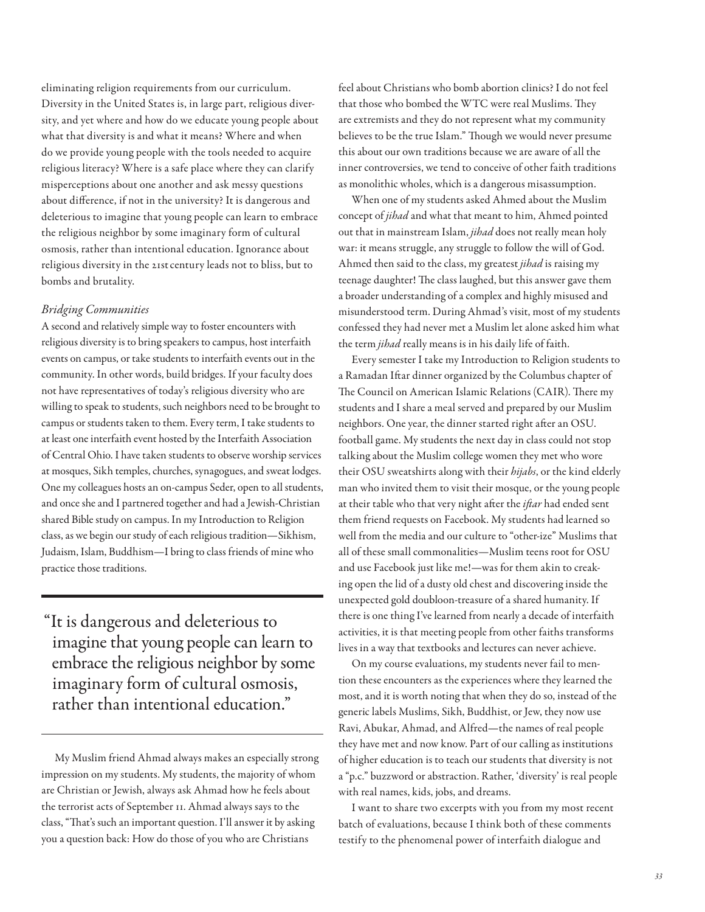eliminating religion requirements from our curriculum. Diversity in the United States is, in large part, religious diversity, and yet where and how do we educate young people about what that diversity is and what it means? Where and when do we provide young people with the tools needed to acquire religious literacy? Where is a safe place where they can clarify misperceptions about one another and ask messy questions about diference, if not in the university? It is dangerous and deleterious to imagine that young people can learn to embrace the religious neighbor by some imaginary form of cultural osmosis, rather than intentional education. Ignorance about religious diversity in the 21stcentury leads not to bliss, but to bombs and brutality.

#### Bridging Communities

A second and relatively simple way to foster encounters with religious diversity is to bring speakers to campus, host interfaith events on campus, or take students to interfaith events out in the community. In other words, build bridges. If your faculty does not have representatives of today's religious diversity who are willing to speak to students, such neighbors need to be brought to campus or students taken to them. Every term, I take students to at least one interfaith event hosted by the Interfaith Association of Central Ohio. I have taken students to observe worship services at mosques, Sikh temples, churches, synagogues, and sweat lodges. One my colleagues hosts an on-campus Seder, open to all students, and once she and I partnered together and had a Jewish-Christian shared Bible study on campus. In my Introduction to Religion class, as we begin our study of each religious tradition—Sikhism, Judaism, Islam, Buddhism—I bring to class friends of mine who practice those traditions.

"It is dangerous and deleterious to imagine that young people can learn to embrace the religious neighbor by some imaginary form of cultural osmosis, rather than intentional education."

My Muslim friend Ahmad always makes an especially strong impression on my students. My students, the majority of whom are Christian or Jewish, always ask Ahmad how he feels about the terrorist acts of September 11. Ahmad always says to the class, "That's such an important question. I'll answer it by asking you a question back: How do those of you who are Christians

feel about Christians who bomb abortion clinics? I do not feel that those who bombed the WTC were real Muslims. They are extremists and they do not represent what my community believes to be the true Islam." Though we would never presume this about our own traditions because we are aware of all the inner controversies, we tend to conceive of other faith traditions as monolithic wholes, which is a dangerous misassumption.

When one of my students asked Ahmed about the Muslim concept of jihad and what that meant to him, Ahmed pointed out that in mainstream Islam, jihad does not really mean holy war: it means struggle, any struggle to follow the will of God. Ahmed then said to the class, my greatest *jihad* is raising my teenage daughter! The class laughed, but this answer gave them a broader understanding of a complex and highly misused and misunderstood term. During Ahmad's visit, most of my students confessed they had never met a Muslim let alone asked him what the term jihad really means is in his daily life of faith.

Every semester I take my Introduction to Religion students to a Ramadan Ifar dinner organized by the Columbus chapter of The Council on American Islamic Relations (CAIR). There my students and I share a meal served and prepared by our Muslim neighbors. One year, the dinner started right after an OSU. football game. My students the next day in class could not stop talking about the Muslim college women they met who wore their OSU sweatshirts along with their hijabs, or the kind elderly man who invited them to visit their mosque, or the young people at their table who that very night after the *iftar* had ended sent them friend requests on Facebook. My students had learned so well from the media and our culture to "other-ize" Muslims that all of these small commonalities—Muslim teens root for OSU and use Facebook just like me!—was for them akin to creaking open the lid of a dusty old chest and discovering inside the unexpected gold doubloon-treasure of a shared humanity. If there is one thing I've learned from nearly a decade of interfaith activities, it is that meeting people from other faiths transforms lives in a way that textbooks and lectures can never achieve.

On my course evaluations, my students never fail to mention these encounters as the experiences where they learned the most, and it is worth noting that when they do so, instead of the generic labels Muslims, Sikh, Buddhist, or Jew, they now use Ravi, Abukar, Ahmad, and Alfred—the names of real people they have met and now know. Part of our calling as institutions of higher education is to teach our students that diversity is not a "p.c." buzzword or abstraction. Rather, 'diversity' is real people with real names, kids, jobs, and dreams.

I want to share two excerpts with you from my most recent batch of evaluations, because I think both of these comments testify to the phenomenal power of interfaith dialogue and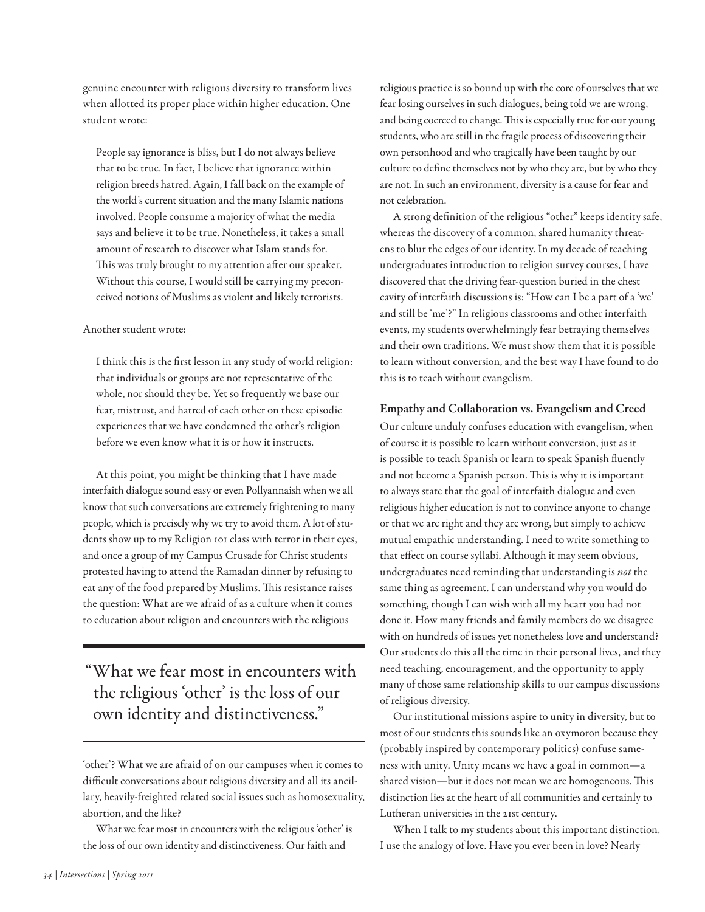genuine encounter with religious diversity to transform lives when allotted its proper place within higher education. One student wrote:

People say ignorance is bliss, but I do not always believe that to be true. In fact, I believe that ignorance within religion breeds hatred. Again, I fall back on the example of the world's current situation and the many Islamic nations involved. People consume a majority of what the media says and believe it to be true. Nonetheless, it takes a small amount of research to discover what Islam stands for. This was truly brought to my attention after our speaker. Without this course, I would still be carrying my preconceived notions of Muslims as violent and likely terrorists.

#### Another student wrote:

I think this is the frst lesson in any study of world religion: that individuals or groups are not representative of the whole, nor should they be. Yet so frequently we base our fear, mistrust, and hatred of each other on these episodic experiences that we have condemned the other's religion before we even know what it is or how it instructs.

At this point, you might be thinking that I have made interfaith dialogue sound easy or even Pollyannaish when we all know that such conversations are extremely frightening to many people, which is precisely why we try to avoid them. A lot of students show up to my Religion 101 class with terror in their eyes, and once a group of my Campus Crusade for Christ students protested having to attend the Ramadan dinner by refusing to eat any of the food prepared by Muslims. This resistance raises the question: What are we afraid of as a culture when it comes to education about religion and encounters with the religious

"What we fear most in encounters with the religious 'other' is the loss of our own identity and distinctiveness."

'other'? What we are afraid of on our campuses when it comes to difficult conversations about religious diversity and all its ancillary, heavily-freighted related social issues such as homosexuality, abortion, and the like?

What we fear most in encounters with the religious 'other' is the loss of our own identity and distinctiveness. Our faith and

religious practice is so bound up with the core of ourselves that we fear losing ourselves in such dialogues, being told we are wrong, and being coerced to change. This is especially true for our young students, who are still in the fragile process of discovering their own personhood and who tragically have been taught by our culture to defne themselves not by who they are, but by who they are not. In such an environment, diversity is a cause for fear and not celebration.

A strong defnition of the religious "other" keeps identity safe, whereas the discovery of a common, shared humanity threatens to blur the edges of our identity. In my decade of teaching undergraduates introduction to religion survey courses, I have discovered that the driving fear-question buried in the chest cavity of interfaith discussions is: "How can I be a part of a 'we' and still be 'me'?" In religious classrooms and other interfaith events, my students overwhelmingly fear betraying themselves and their own traditions. We must show them that it is possible to learn without conversion, and the best way I have found to do this is to teach without evangelism.

#### Empathy and Collaboration vs. Evangelism and Creed

Our culture unduly confuses education with evangelism, when of course it is possible to learn without conversion, just as it is possible to teach Spanish or learn to speak Spanish fuently and not become a Spanish person. This is why it is important to always state that the goal of interfaith dialogue and even religious higher education is not to convince anyone to change or that we are right and they are wrong, but simply to achieve mutual empathic understanding. I need to write something to that effect on course syllabi. Although it may seem obvious, undergraduates need reminding that understanding is not the same thing as agreement. I can understand why you would do something, though I can wish with all my heart you had not done it. How many friends and family members do we disagree with on hundreds of issues yet nonetheless love and understand? Our students do this all the time in their personal lives, and they need teaching, encouragement, and the opportunity to apply many of those same relationship skills to our campus discussions of religious diversity.

Our institutional missions aspire to unity in diversity, but to most of our students this sounds like an oxymoron because they (probably inspired by contemporary politics) confuse sameness with unity. Unity means we have a goal in common—a shared vision—but it does not mean we are homogeneous. This distinction lies at the heart of all communities and certainly to Lutheran universities in the 21st century.

When I talk to my students about this important distinction, I use the analogy of love. Have you ever been in love? Nearly